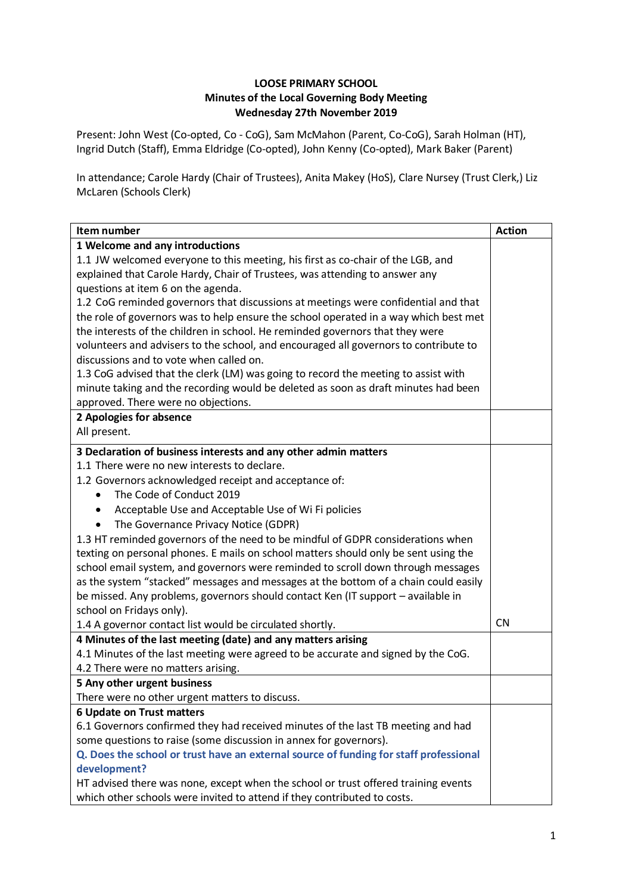## **LOOSE PRIMARY SCHOOL Minutes of the Local Governing Body Meeting Wednesday 27th November 2019**

Present: John West (Co-opted, Co - CoG), Sam McMahon (Parent, Co-CoG), Sarah Holman (HT), Ingrid Dutch (Staff), Emma Eldridge (Co-opted), John Kenny (Co-opted), Mark Baker (Parent)

In attendance; Carole Hardy (Chair of Trustees), Anita Makey (HoS), Clare Nursey (Trust Clerk,) Liz McLaren (Schools Clerk)

| Item number                                                                           | <b>Action</b> |  |  |
|---------------------------------------------------------------------------------------|---------------|--|--|
| 1 Welcome and any introductions                                                       |               |  |  |
| 1.1 JW welcomed everyone to this meeting, his first as co-chair of the LGB, and       |               |  |  |
| explained that Carole Hardy, Chair of Trustees, was attending to answer any           |               |  |  |
| questions at item 6 on the agenda.                                                    |               |  |  |
| 1.2 CoG reminded governors that discussions at meetings were confidential and that    |               |  |  |
| the role of governors was to help ensure the school operated in a way which best met  |               |  |  |
| the interests of the children in school. He reminded governors that they were         |               |  |  |
| volunteers and advisers to the school, and encouraged all governors to contribute to  |               |  |  |
| discussions and to vote when called on.                                               |               |  |  |
| 1.3 CoG advised that the clerk (LM) was going to record the meeting to assist with    |               |  |  |
| minute taking and the recording would be deleted as soon as draft minutes had been    |               |  |  |
| approved. There were no objections.                                                   |               |  |  |
| 2 Apologies for absence                                                               |               |  |  |
| All present.                                                                          |               |  |  |
| 3 Declaration of business interests and any other admin matters                       |               |  |  |
| 1.1 There were no new interests to declare.                                           |               |  |  |
| 1.2 Governors acknowledged receipt and acceptance of:                                 |               |  |  |
| The Code of Conduct 2019<br>$\bullet$                                                 |               |  |  |
| Acceptable Use and Acceptable Use of Wi Fi policies<br>٠                              |               |  |  |
| The Governance Privacy Notice (GDPR)                                                  |               |  |  |
| 1.3 HT reminded governors of the need to be mindful of GDPR considerations when       |               |  |  |
| texting on personal phones. E mails on school matters should only be sent using the   |               |  |  |
| school email system, and governors were reminded to scroll down through messages      |               |  |  |
| as the system "stacked" messages and messages at the bottom of a chain could easily   |               |  |  |
| be missed. Any problems, governors should contact Ken (IT support - available in      |               |  |  |
| school on Fridays only).                                                              |               |  |  |
| 1.4 A governor contact list would be circulated shortly.                              | <b>CN</b>     |  |  |
| 4 Minutes of the last meeting (date) and any matters arising                          |               |  |  |
| 4.1 Minutes of the last meeting were agreed to be accurate and signed by the CoG.     |               |  |  |
| 4.2 There were no matters arising.                                                    |               |  |  |
| 5 Any other urgent business                                                           |               |  |  |
| There were no other urgent matters to discuss.                                        |               |  |  |
| 6 Update on Trust matters                                                             |               |  |  |
| 6.1 Governors confirmed they had received minutes of the last TB meeting and had      |               |  |  |
| some questions to raise (some discussion in annex for governors).                     |               |  |  |
| Q. Does the school or trust have an external source of funding for staff professional |               |  |  |
| development?                                                                          |               |  |  |
| HT advised there was none, except when the school or trust offered training events    |               |  |  |
| which other schools were invited to attend if they contributed to costs.              |               |  |  |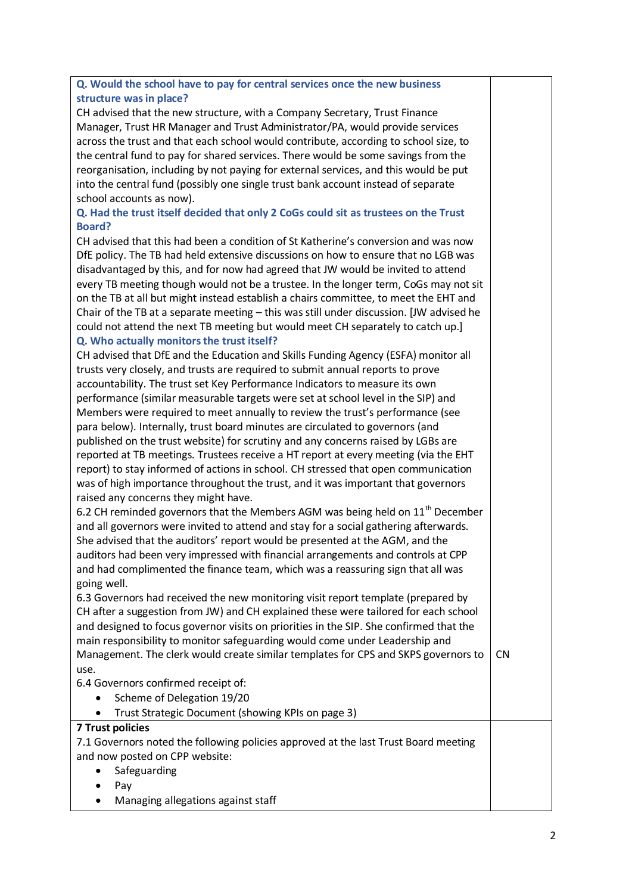## **Q. Would the school have to pay for central services once the new business structure was in place?**

CH advised that the new structure, with a Company Secretary, Trust Finance Manager, Trust HR Manager and Trust Administrator/PA, would provide services across the trust and that each school would contribute, according to school size, to the central fund to pay for shared services. There would be some savings from the reorganisation, including by not paying for external services, and this would be put into the central fund (possibly one single trust bank account instead of separate school accounts as now).

## **Q. Had the trust itself decided that only 2 CoGs could sit as trustees on the Trust Board?**

CH advised that this had been a condition of St Katherine's conversion and was now DfE policy. The TB had held extensive discussions on how to ensure that no LGB was disadvantaged by this, and for now had agreed that JW would be invited to attend every TB meeting though would not be a trustee. In the longer term, CoGs may not sit on the TB at all but might instead establish a chairs committee, to meet the EHT and Chair of the TB at a separate meeting – this was still under discussion. [JW advised he could not attend the next TB meeting but would meet CH separately to catch up.] **Q. Who actually monitors the trust itself?** 

CH advised that DfE and the Education and Skills Funding Agency (ESFA) monitor all trusts very closely, and trusts are required to submit annual reports to prove accountability. The trust set Key Performance Indicators to measure its own performance (similar measurable targets were set at school level in the SIP) and Members were required to meet annually to review the trust's performance (see para below). Internally, trust board minutes are circulated to governors (and published on the trust website) for scrutiny and any concerns raised by LGBs are reported at TB meetings. Trustees receive a HT report at every meeting (via the EHT report) to stay informed of actions in school. CH stressed that open communication was of high importance throughout the trust, and it was important that governors raised any concerns they might have.

6.2 CH reminded governors that the Members AGM was being held on  $11<sup>th</sup>$  December and all governors were invited to attend and stay for a social gathering afterwards. She advised that the auditors' report would be presented at the AGM, and the auditors had been very impressed with financial arrangements and controls at CPP and had complimented the finance team, which was a reassuring sign that all was going well.

6.3 Governors had received the new monitoring visit report template (prepared by CH after a suggestion from JW) and CH explained these were tailored for each school and designed to focus governor visits on priorities in the SIP. She confirmed that the main responsibility to monitor safeguarding would come under Leadership and Management. The clerk would create similar templates for CPS and SKPS governors to use. CN

6.4 Governors confirmed receipt of:

- Scheme of Delegation 19/20
- Trust Strategic Document (showing KPIs on page 3)

## **7 Trust policies**

7.1 Governors noted the following policies approved at the last Trust Board meeting and now posted on CPP website:

- Safeguarding
- $\bullet$  Pav
- Managing allegations against staff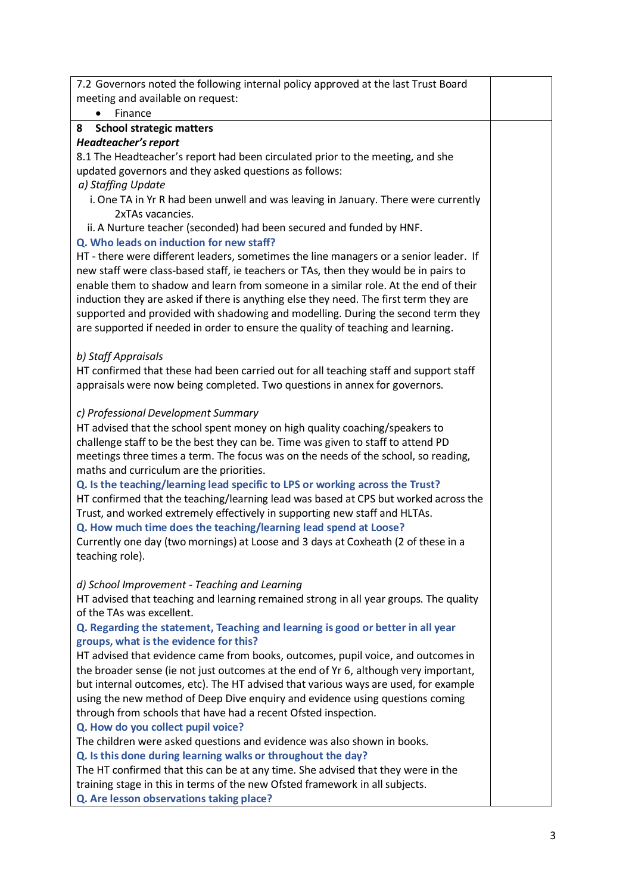7.2 Governors noted the following internal policy approved at the last Trust Board meeting and available on request: • Finance **8 School strategic matters** *Headteacher's report* 8.1 The Headteacher's report had been circulated prior to the meeting, and she updated governors and they asked questions as follows: *a) Staffing Update* i. One TA in Yr R had been unwell and was leaving in January. There were currently 2xTAs vacancies. ii. A Nurture teacher (seconded) had been secured and funded by HNF. **Q. Who leads on induction for new staff?** HT - there were different leaders, sometimes the line managers or a senior leader. If new staff were class-based staff, ie teachers or TAs, then they would be in pairs to enable them to shadow and learn from someone in a similar role. At the end of their induction they are asked if there is anything else they need. The first term they are supported and provided with shadowing and modelling. During the second term they are supported if needed in order to ensure the quality of teaching and learning. *b) Staff Appraisals* HT confirmed that these had been carried out for all teaching staff and support staff appraisals were now being completed. Two questions in annex for governors. *c) Professional Development Summary* HT advised that the school spent money on high quality coaching/speakers to challenge staff to be the best they can be. Time was given to staff to attend PD meetings three times a term. The focus was on the needs of the school, so reading, maths and curriculum are the priorities. **Q. Is the teaching/learning lead specific to LPS or working across the Trust?** HT confirmed that the teaching/learning lead was based at CPS but worked across the Trust, and worked extremely effectively in supporting new staff and HLTAs. **Q. How much time does the teaching/learning lead spend at Loose?** Currently one day (two mornings) at Loose and 3 days at Coxheath (2 of these in a teaching role). *d) School Improvement - Teaching and Learning*  HT advised that teaching and learning remained strong in all year groups. The quality of the TAs was excellent. **Q. Regarding the statement, Teaching and learning is good or better in all year groups, what is the evidence for this?** HT advised that evidence came from books, outcomes, pupil voice, and outcomes in the broader sense (ie not just outcomes at the end of Yr 6, although very important, but internal outcomes, etc). The HT advised that various ways are used, for example using the new method of Deep Dive enquiry and evidence using questions coming through from schools that have had a recent Ofsted inspection. **Q. How do you collect pupil voice?** The children were asked questions and evidence was also shown in books. **Q. Is this done during learning walks or throughout the day?** The HT confirmed that this can be at any time. She advised that they were in the training stage in this in terms of the new Ofsted framework in all subjects. **Q. Are lesson observations taking place?**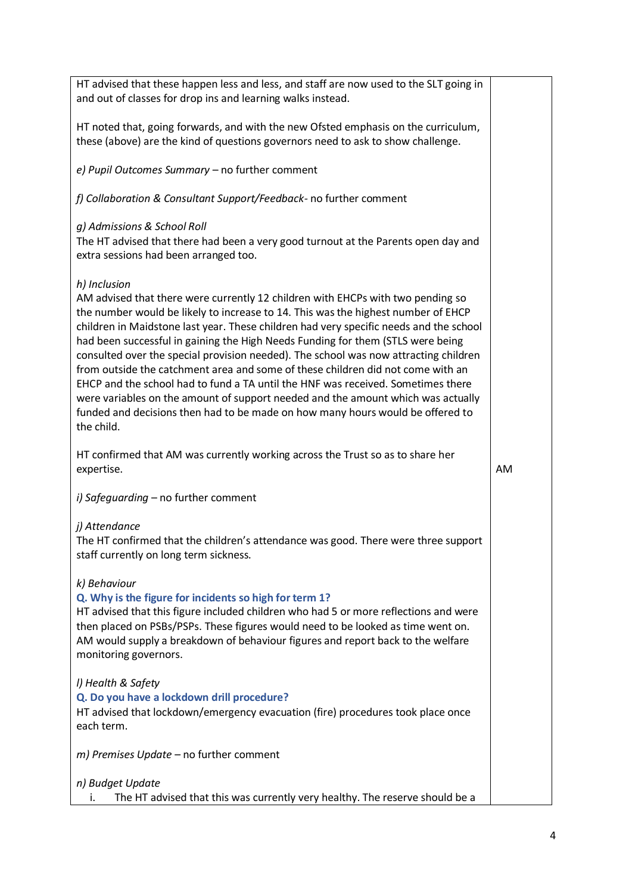| HT advised that these happen less and less, and staff are now used to the SLT going in<br>and out of classes for drop ins and learning walks instead.                                                                                                                                                                                                                                                                                                                                                                                                                                                                                                                                                                                                                                                                |    |
|----------------------------------------------------------------------------------------------------------------------------------------------------------------------------------------------------------------------------------------------------------------------------------------------------------------------------------------------------------------------------------------------------------------------------------------------------------------------------------------------------------------------------------------------------------------------------------------------------------------------------------------------------------------------------------------------------------------------------------------------------------------------------------------------------------------------|----|
| HT noted that, going forwards, and with the new Ofsted emphasis on the curriculum,<br>these (above) are the kind of questions governors need to ask to show challenge.                                                                                                                                                                                                                                                                                                                                                                                                                                                                                                                                                                                                                                               |    |
| e) Pupil Outcomes Summary - no further comment                                                                                                                                                                                                                                                                                                                                                                                                                                                                                                                                                                                                                                                                                                                                                                       |    |
| f) Collaboration & Consultant Support/Feedback- no further comment                                                                                                                                                                                                                                                                                                                                                                                                                                                                                                                                                                                                                                                                                                                                                   |    |
| g) Admissions & School Roll<br>The HT advised that there had been a very good turnout at the Parents open day and<br>extra sessions had been arranged too.                                                                                                                                                                                                                                                                                                                                                                                                                                                                                                                                                                                                                                                           |    |
| h) Inclusion<br>AM advised that there were currently 12 children with EHCPs with two pending so<br>the number would be likely to increase to 14. This was the highest number of EHCP<br>children in Maidstone last year. These children had very specific needs and the school<br>had been successful in gaining the High Needs Funding for them (STLS were being<br>consulted over the special provision needed). The school was now attracting children<br>from outside the catchment area and some of these children did not come with an<br>EHCP and the school had to fund a TA until the HNF was received. Sometimes there<br>were variables on the amount of support needed and the amount which was actually<br>funded and decisions then had to be made on how many hours would be offered to<br>the child. |    |
| HT confirmed that AM was currently working across the Trust so as to share her<br>expertise.                                                                                                                                                                                                                                                                                                                                                                                                                                                                                                                                                                                                                                                                                                                         | AM |
| i) Safeguarding - no further comment                                                                                                                                                                                                                                                                                                                                                                                                                                                                                                                                                                                                                                                                                                                                                                                 |    |
| j) Attendance<br>The HT confirmed that the children's attendance was good. There were three support<br>staff currently on long term sickness.                                                                                                                                                                                                                                                                                                                                                                                                                                                                                                                                                                                                                                                                        |    |
| k) Behaviour<br>Q. Why is the figure for incidents so high for term 1?<br>HT advised that this figure included children who had 5 or more reflections and were<br>then placed on PSBs/PSPs. These figures would need to be looked as time went on.<br>AM would supply a breakdown of behaviour figures and report back to the welfare<br>monitoring governors.                                                                                                                                                                                                                                                                                                                                                                                                                                                       |    |
| I) Health & Safety<br>Q. Do you have a lockdown drill procedure?<br>HT advised that lockdown/emergency evacuation (fire) procedures took place once<br>each term.                                                                                                                                                                                                                                                                                                                                                                                                                                                                                                                                                                                                                                                    |    |
| m) Premises Update - no further comment                                                                                                                                                                                                                                                                                                                                                                                                                                                                                                                                                                                                                                                                                                                                                                              |    |
| n) Budget Update<br>The HT advised that this was currently very healthy. The reserve should be a<br>ı.                                                                                                                                                                                                                                                                                                                                                                                                                                                                                                                                                                                                                                                                                                               |    |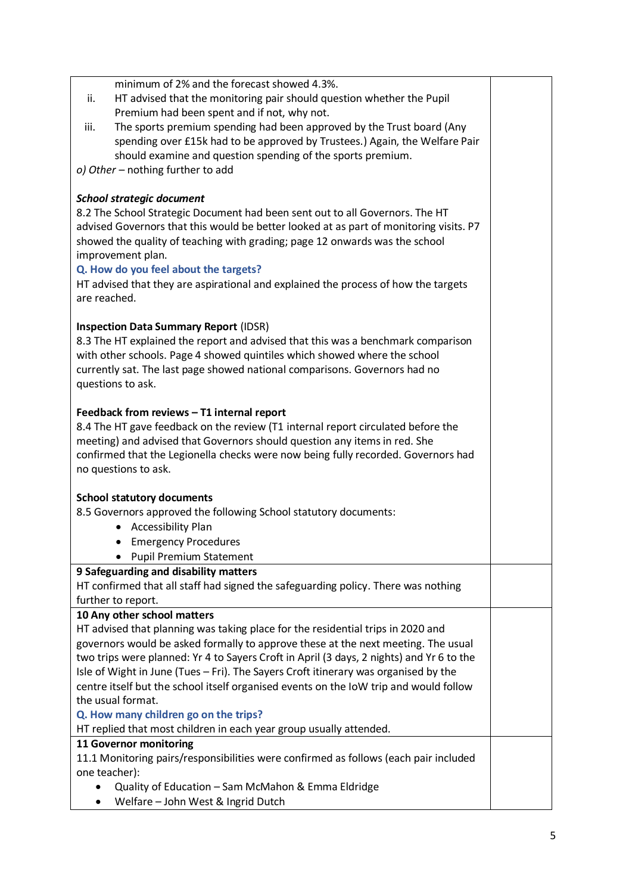Welfare – John West & Ingrid Dutch